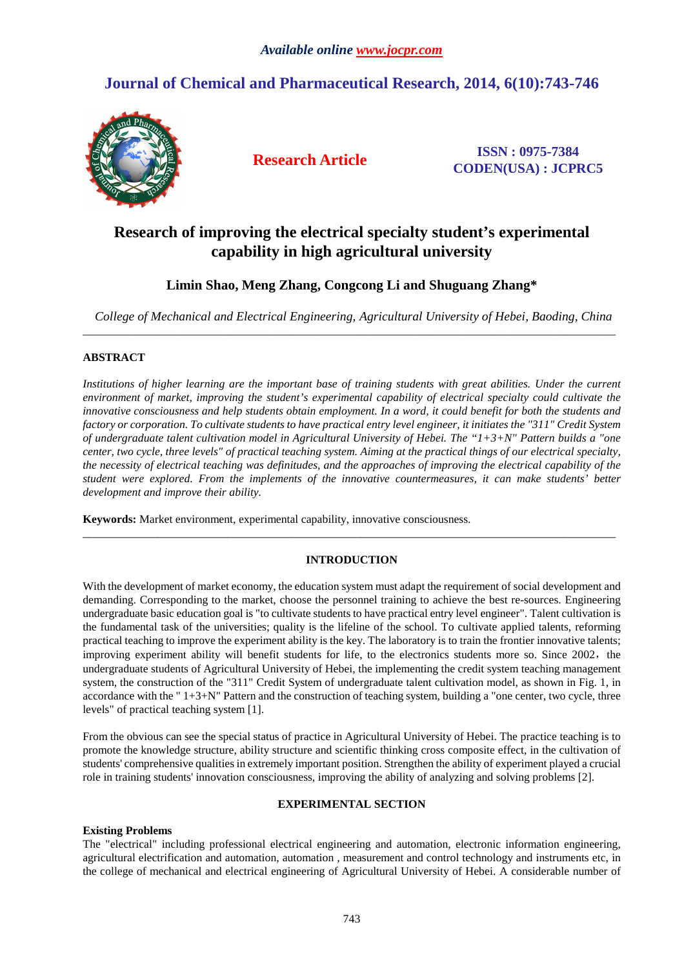# **Journal of Chemical and Pharmaceutical Research, 2014, 6(10):743-746**



**Research Article ISSN : 0975-7384 CODEN(USA) : JCPRC5**

# **Research of improving the electrical specialty student's experimental capability in high agricultural university**

# **Limin Shao, Meng Zhang, Congcong Li and Shuguang Zhang\***

*College of Mechanical and Electrical Engineering, Agricultural University of Hebei, Baoding, China*  \_\_\_\_\_\_\_\_\_\_\_\_\_\_\_\_\_\_\_\_\_\_\_\_\_\_\_\_\_\_\_\_\_\_\_\_\_\_\_\_\_\_\_\_\_\_\_\_\_\_\_\_\_\_\_\_\_\_\_\_\_\_\_\_\_\_\_\_\_\_\_\_\_\_\_\_\_\_\_\_\_\_\_\_\_\_\_\_\_\_\_\_

# **ABSTRACT**

Institutions of higher learning are the important base of training students with great abilities. Under the current *environment of market, improving the student's experimental capability of electrical specialty could cultivate the innovative consciousness and help students obtain employment. In a word, it could benefit for both the students and factory or corporation. To cultivate students to have practical entry level engineer, it initiates the "311" Credit System of undergraduate talent cultivation model in Agricultural University of Hebei. The "1+3+N" Pattern builds a "one center, two cycle, three levels" of practical teaching system. Aiming at the practical things of our electrical specialty, the necessity of electrical teaching was definitudes, and the approaches of improving the electrical capability of the student were explored. From the implements of the innovative countermeasures, it can make students' better development and improve their ability.* 

**Keywords:** Market environment, experimental capability, innovative consciousness.

# **INTRODUCTION**

\_\_\_\_\_\_\_\_\_\_\_\_\_\_\_\_\_\_\_\_\_\_\_\_\_\_\_\_\_\_\_\_\_\_\_\_\_\_\_\_\_\_\_\_\_\_\_\_\_\_\_\_\_\_\_\_\_\_\_\_\_\_\_\_\_\_\_\_\_\_\_\_\_\_\_\_\_\_\_\_\_\_\_\_\_\_\_\_\_\_\_\_

With the development of market economy, the education system must adapt the requirement of social development and demanding. Corresponding to the market, choose the personnel training to achieve the best re-sources. Engineering undergraduate basic education goal is "to cultivate students to have practical entry level engineer". Talent cultivation is the fundamental task of the universities; quality is the lifeline of the school. To cultivate applied talents, reforming practical teaching to improve the experiment ability is the key. The laboratory is to train the frontier innovative talents; improving experiment ability will benefit students for life, to the electronics students more so. Since 2002, the undergraduate students of Agricultural University of Hebei, the implementing the credit system teaching management system, the construction of the "311" Credit System of undergraduate talent cultivation model, as shown in Fig. 1, in accordance with the " 1+3+N" Pattern and the construction of teaching system, building a "one center, two cycle, three levels" of practical teaching system [1].

From the obvious can see the special status of practice in Agricultural University of Hebei. The practice teaching is to promote the knowledge structure, ability structure and scientific thinking cross composite effect, in the cultivation of students' comprehensive qualities in extremely important position. Strengthen the ability of experiment played a crucial role in training students' innovation consciousness, improving the ability of analyzing and solving problems [2].

# **EXPERIMENTAL SECTION**

# **Existing Problems**

The "electrical" including professional electrical engineering and automation, electronic information engineering, agricultural electrification and automation, automation , measurement and control technology and instruments etc, in the college of mechanical and electrical engineering of Agricultural University of Hebei. A considerable number of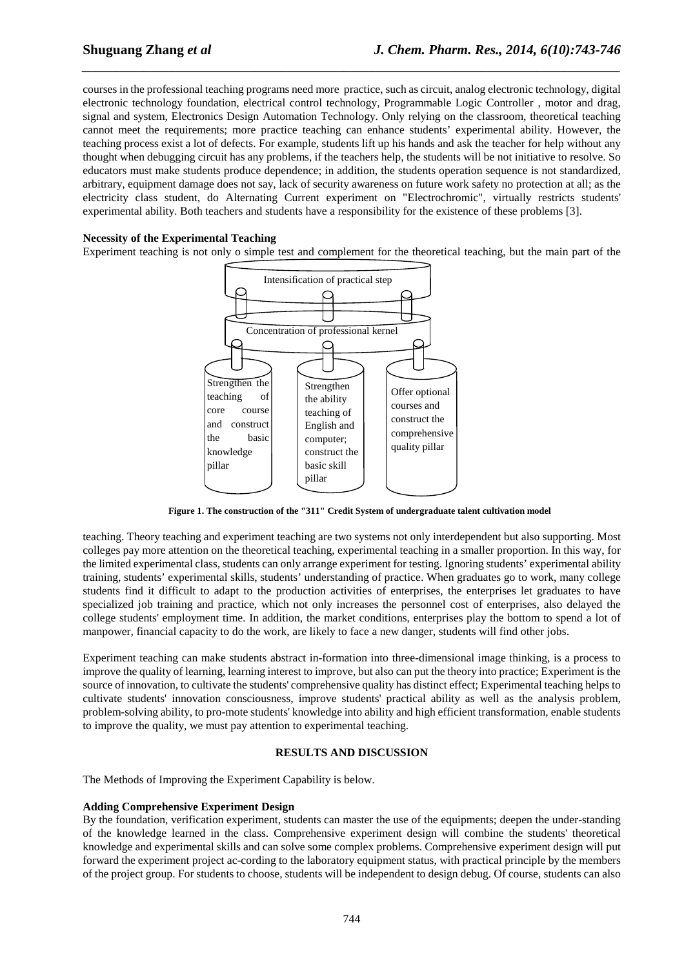courses in the professional teaching programs need more practice, such as circuit, analog electronic technology, digital electronic technology foundation, electrical control technology, Programmable Logic Controller , motor and drag, signal and system, Electronics Design Automation Technology. Only relying on the classroom, theoretical teaching cannot meet the requirements; more practice teaching can enhance students' experimental ability. However, the teaching process exist a lot of defects. For example, students lift up his hands and ask the teacher for help without any thought when debugging circuit has any problems, if the teachers help, the students will be not initiative to resolve. So educators must make students produce dependence; in addition, the students operation sequence is not standardized, arbitrary, equipment damage does not say, lack of security awareness on future work safety no protection at all; as the electricity class student, do Alternating Current experiment on "Electrochromic", virtually restricts students' experimental ability. Both teachers and students have a responsibility for the existence of these problems [3].

*\_\_\_\_\_\_\_\_\_\_\_\_\_\_\_\_\_\_\_\_\_\_\_\_\_\_\_\_\_\_\_\_\_\_\_\_\_\_\_\_\_\_\_\_\_\_\_\_\_\_\_\_\_\_\_\_\_\_\_\_\_\_\_\_\_\_\_\_\_\_\_\_\_\_\_\_\_\_*

### **Necessity of the Experimental Teaching**

Experiment teaching is not only o simple test and complement for the theoretical teaching, but the main part of the



**Figure 1. The construction of the "311" Credit System of undergraduate talent cultivation model** 

teaching. Theory teaching and experiment teaching are two systems not only interdependent but also supporting. Most colleges pay more attention on the theoretical teaching, experimental teaching in a smaller proportion. In this way, for the limited experimental class, students can only arrange experiment for testing. Ignoring students' experimental ability training, students' experimental skills, students' understanding of practice. When graduates go to work, many college students find it difficult to adapt to the production activities of enterprises, the enterprises let graduates to have specialized job training and practice, which not only increases the personnel cost of enterprises, also delayed the college students' employment time. In addition, the market conditions, enterprises play the bottom to spend a lot of manpower, financial capacity to do the work, are likely to face a new danger, students will find other jobs.

Experiment teaching can make students abstract in-formation into three-dimensional image thinking, is a process to improve the quality of learning, learning interest to improve, but also can put the theory into practice; Experiment is the source of innovation, to cultivate the students' comprehensive quality has distinct effect; Experimental teaching helps to cultivate students' innovation consciousness, improve students' practical ability as well as the analysis problem, problem-solving ability, to pro-mote students' knowledge into ability and high efficient transformation, enable students to improve the quality, we must pay attention to experimental teaching.

#### **RESULTS AND DISCUSSION**

The Methods of Improving the Experiment Capability is below.

#### **Adding Comprehensive Experiment Design**

By the foundation, verification experiment, students can master the use of the equipments; deepen the under-standing of the knowledge learned in the class. Comprehensive experiment design will combine the students' theoretical knowledge and experimental skills and can solve some complex problems. Comprehensive experiment design will put forward the experiment project ac-cording to the laboratory equipment status, with practical principle by the members of the project group. For students to choose, students will be independent to design debug. Of course, students can also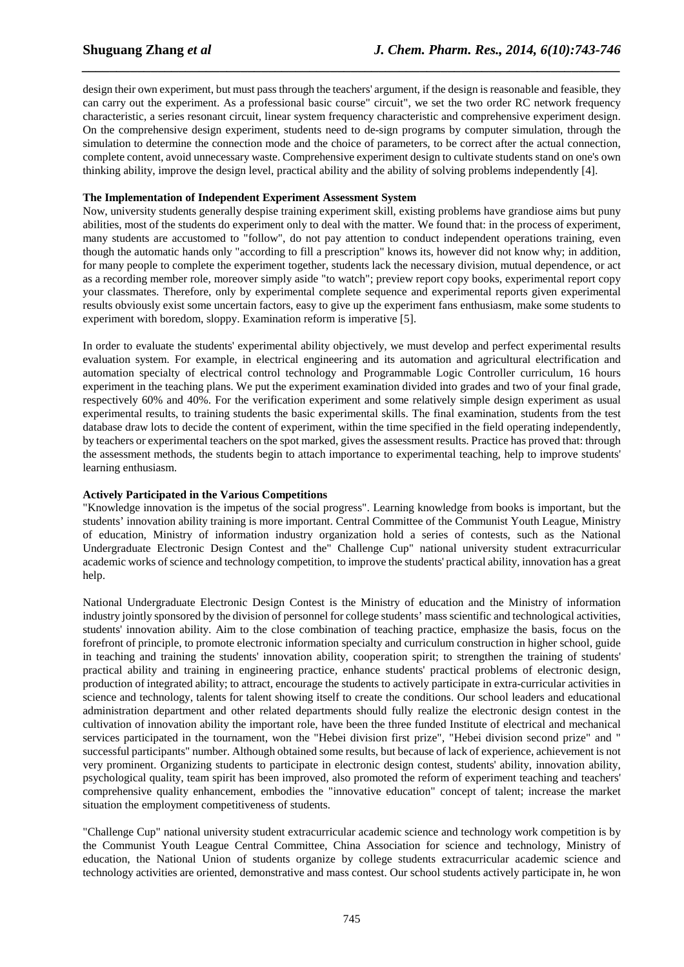design their own experiment, but must pass through the teachers' argument, if the design is reasonable and feasible, they can carry out the experiment. As a professional basic course" circuit", we set the two order RC network frequency characteristic, a series resonant circuit, linear system frequency characteristic and comprehensive experiment design. On the comprehensive design experiment, students need to de-sign programs by computer simulation, through the simulation to determine the connection mode and the choice of parameters, to be correct after the actual connection, complete content, avoid unnecessary waste. Comprehensive experiment design to cultivate students stand on one's own thinking ability, improve the design level, practical ability and the ability of solving problems independently [4].

*\_\_\_\_\_\_\_\_\_\_\_\_\_\_\_\_\_\_\_\_\_\_\_\_\_\_\_\_\_\_\_\_\_\_\_\_\_\_\_\_\_\_\_\_\_\_\_\_\_\_\_\_\_\_\_\_\_\_\_\_\_\_\_\_\_\_\_\_\_\_\_\_\_\_\_\_\_\_*

## **The Implementation of Independent Experiment Assessment System**

Now, university students generally despise training experiment skill, existing problems have grandiose aims but puny abilities, most of the students do experiment only to deal with the matter. We found that: in the process of experiment, many students are accustomed to "follow", do not pay attention to conduct independent operations training, even though the automatic hands only "according to fill a prescription" knows its, however did not know why; in addition, for many people to complete the experiment together, students lack the necessary division, mutual dependence, or act as a recording member role, moreover simply aside "to watch"; preview report copy books, experimental report copy your classmates. Therefore, only by experimental complete sequence and experimental reports given experimental results obviously exist some uncertain factors, easy to give up the experiment fans enthusiasm, make some students to experiment with boredom, sloppy. Examination reform is imperative [5].

In order to evaluate the students' experimental ability objectively, we must develop and perfect experimental results evaluation system. For example, in electrical engineering and its automation and agricultural electrification and automation specialty of electrical control technology and Programmable Logic Controller curriculum, 16 hours experiment in the teaching plans. We put the experiment examination divided into grades and two of your final grade, respectively 60% and 40%. For the verification experiment and some relatively simple design experiment as usual experimental results, to training students the basic experimental skills. The final examination, students from the test database draw lots to decide the content of experiment, within the time specified in the field operating independently, by teachers or experimental teachers on the spot marked, gives the assessment results. Practice has proved that: through the assessment methods, the students begin to attach importance to experimental teaching, help to improve students' learning enthusiasm.

#### **Actively Participated in the Various Competitions**

"Knowledge innovation is the impetus of the social progress". Learning knowledge from books is important, but the students' innovation ability training is more important. Central Committee of the Communist Youth League, Ministry of education, Ministry of information industry organization hold a series of contests, such as the National Undergraduate Electronic Design Contest and the" Challenge Cup" national university student extracurricular academic works of science and technology competition, to improve the students' practical ability, innovation has a great help.

National Undergraduate Electronic Design Contest is the Ministry of education and the Ministry of information industry jointly sponsored by the division of personnel for college students' mass scientific and technological activities, students' innovation ability. Aim to the close combination of teaching practice, emphasize the basis, focus on the forefront of principle, to promote electronic information specialty and curriculum construction in higher school, guide in teaching and training the students' innovation ability, cooperation spirit; to strengthen the training of students' practical ability and training in engineering practice, enhance students' practical problems of electronic design, production of integrated ability; to attract, encourage the students to actively participate in extra-curricular activities in science and technology, talents for talent showing itself to create the conditions. Our school leaders and educational administration department and other related departments should fully realize the electronic design contest in the cultivation of innovation ability the important role, have been the three funded Institute of electrical and mechanical services participated in the tournament, won the "Hebei division first prize", "Hebei division second prize" and " successful participants" number. Although obtained some results, but because of lack of experience, achievement is not very prominent. Organizing students to participate in electronic design contest, students' ability, innovation ability, psychological quality, team spirit has been improved, also promoted the reform of experiment teaching and teachers' comprehensive quality enhancement, embodies the "innovative education" concept of talent; increase the market situation the employment competitiveness of students.

"Challenge Cup" national university student extracurricular academic science and technology work competition is by the Communist Youth League Central Committee, China Association for science and technology, Ministry of education, the National Union of students organize by college students extracurricular academic science and technology activities are oriented, demonstrative and mass contest. Our school students actively participate in, he won